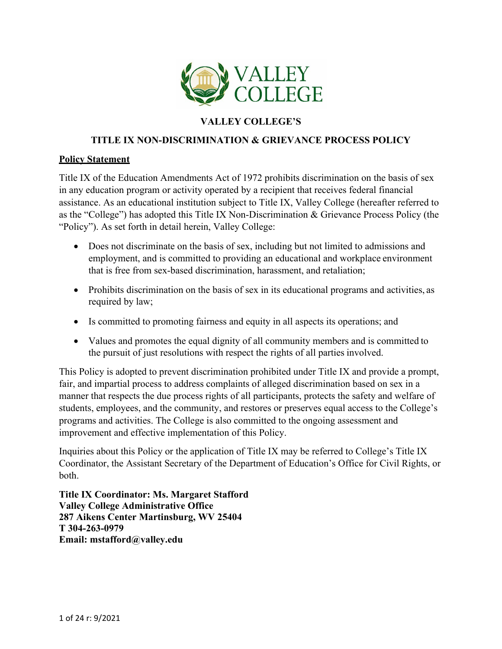

# **VALLEY COLLEGE'S**

#### **TITLE IX NON-DISCRIMINATION & GRIEVANCE PROCESS POLICY**

#### **Policy Statement**

Title IX of the Education Amendments Act of 1972 prohibits discrimination on the basis of sex in any education program or activity operated by a recipient that receives federal financial assistance. As an educational institution subject to Title IX, Valley College (hereafter referred to as the "College") has adopted this Title IX Non-Discrimination & Grievance Process Policy (the "Policy"). As set forth in detail herein, Valley College:

- Does not discriminate on the basis of sex, including but not limited to admissions and employment, and is committed to providing an educational and workplace environment that is free from sex-based discrimination, harassment, and retaliation;
- Prohibits discrimination on the basis of sex in its educational programs and activities, as required by law;
- Is committed to promoting fairness and equity in all aspects its operations; and
- Values and promotes the equal dignity of all community members and is committed to the pursuit of just resolutions with respect the rights of all parties involved.

This Policy is adopted to prevent discrimination prohibited under Title IX and provide a prompt, fair, and impartial process to address complaints of alleged discrimination based on sex in a manner that respects the due process rights of all participants, protects the safety and welfare of students, employees, and the community, and restores or preserves equal access to the College's programs and activities. The College is also committed to the ongoing assessment and improvement and effective implementation of this Policy.

Inquiries about this Policy or the application of Title IX may be referred to College's Title IX Coordinator, the Assistant Secretary of the Department of Education's Office for Civil Rights, or both.

**Title IX Coordinator: Ms. Margaret Stafford Valley College Administrative Office 287 Aikens Center Martinsburg, WV 25404 T 304-263-0979 Email: [mstafford@valley.edu](mailto:mstafford@valley.edu)**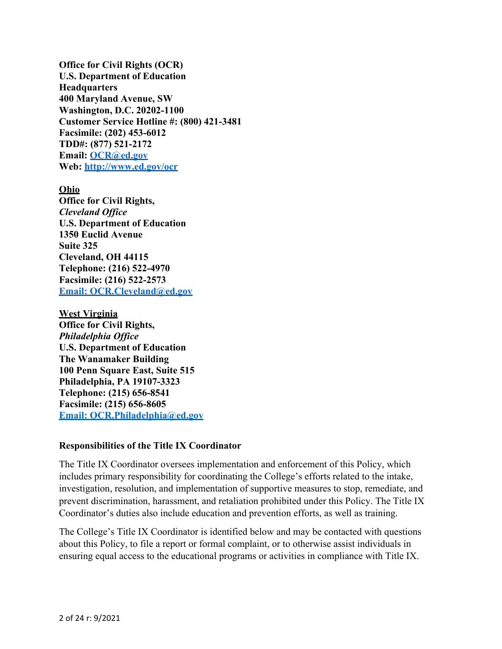**Office for Civil Rights (OCR) U.S. Department of Education Headquarters 400 Maryland Avenue, SW Washington, D.C. 20202-1100 Customer Service Hotline #: (800) 421-3481 Facsimile: (202) 453-6012 TDD#: (877) 521-2172 Email: [OCR@ed.gov](mailto:OCR@ed.gov) Web:<http://www.ed.gov/ocr>**

#### **Ohio**

**Office for Civil Rights,** *Cleveland Office* **U.S. Department of Education 1350 Euclid Avenue Suite 325 Cleveland, OH 44115 Telephone: (216) 522-4970 Facsimile: (216) 522-2573 [Email: OCR.Cleveland@ed.gov](mailto:OCR.Cleveland@ed.gov)**

**West Virginia Office for Civil Rights,** *Philadelphia Office* **U.S. Department of Education The Wanamaker Building 100 Penn Square East, Suite 515 Philadelphia, PA 19107-3323 Telephone: (215) 656-8541 Facsimile: (215) 656-8605 [Email: OCR.Philadelphia@ed.gov](mailto:OCR.Philadelphia@ed.gov)**

#### **Responsibilities of the Title IX Coordinator**

The Title IX Coordinator oversees implementation and enforcement of this Policy, which includes primary responsibility for coordinating the College's efforts related to the intake, investigation, resolution, and implementation of supportive measures to stop, remediate, and prevent discrimination, harassment, and retaliation prohibited under this Policy. The Title IX Coordinator's duties also include education and prevention efforts, as well as training.

The College's Title IX Coordinator is identified below and may be contacted with questions about this Policy, to file a report or formal complaint, or to otherwise assist individuals in ensuring equal access to the educational programs or activities in compliance with Title IX.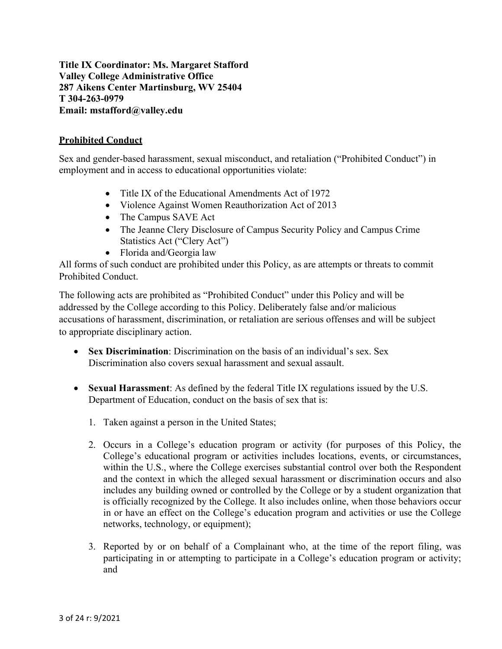**Title IX Coordinator: Ms. Margaret Stafford Valley College Administrative Office 287 Aikens Center Martinsburg, WV 25404 T 304-263-0979 Email: [mstafford@valley.edu](mailto:mstafford@valley.edu)**

#### **Prohibited Conduct**

Sex and gender-based harassment, sexual misconduct, and retaliation ("Prohibited Conduct") in employment and in access to educational opportunities violate:

- Title IX of the Educational Amendments Act of 1972
- Violence Against Women Reauthorization Act of 2013
- The Campus SAVE Act
- The Jeanne Clery Disclosure of Campus Security Policy and Campus Crime Statistics Act ("Clery Act")
- Florida and/Georgia law

All forms of such conduct are prohibited under this Policy, as are attempts or threats to commit Prohibited Conduct.

The following acts are prohibited as "Prohibited Conduct" under this Policy and will be addressed by the College according to this Policy. Deliberately false and/or malicious accusations of harassment, discrimination, or retaliation are serious offenses and will be subject to appropriate disciplinary action.

- **Sex Discrimination**: Discrimination on the basis of an individual's sex. Sex Discrimination also covers sexual harassment and sexual assault.
- **Sexual Harassment**: As defined by the federal Title IX regulations issued by the U.S. Department of Education, conduct on the basis of sex that is:
	- 1. Taken against a person in the United States;
	- 2. Occurs in a College's education program or activity (for purposes of this Policy, the College's educational program or activities includes locations, events, or circumstances, within the U.S., where the College exercises substantial control over both the Respondent and the context in which the alleged sexual harassment or discrimination occurs and also includes any building owned or controlled by the College or by a student organization that is officially recognized by the College. It also includes online, when those behaviors occur in or have an effect on the College's education program and activities or use the College networks, technology, or equipment);
	- 3. Reported by or on behalf of a Complainant who, at the time of the report filing, was participating in or attempting to participate in a College's education program or activity; and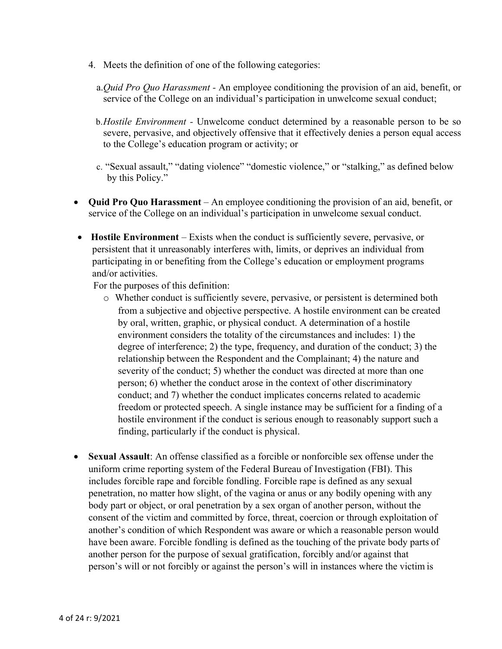- 4. Meets the definition of one of the following categories:
	- a.*Quid Pro Quo Harassment -* An employee conditioning the provision of an aid, benefit, or service of the College on an individual's participation in unwelcome sexual conduct;
	- b.*Hostile Environment -* Unwelcome conduct determined by a reasonable person to be so severe, pervasive, and objectively offensive that it effectively denies a person equal access to the College's education program or activity; or
	- c. "Sexual assault," "dating violence" "domestic violence," or "stalking," as defined below by this Policy."
- **Quid Pro Quo Harassment** *–* An employee conditioning the provision of an aid, benefit, or service of the College on an individual's participation in unwelcome sexual conduct.
- **Hostile Environment** Exists when the conduct is sufficiently severe, pervasive, or persistent that it unreasonably interferes with, limits, or deprives an individual from participating in or benefiting from the College's education or employment programs and/or activities.

For the purposes of this definition:

- o Whether conduct is sufficiently severe, pervasive, or persistent is determined both from a subjective and objective perspective. A hostile environment can be created by oral, written, graphic, or physical conduct. A determination of a hostile environment considers the totality of the circumstances and includes: 1) the degree of interference; 2) the type, frequency, and duration of the conduct; 3) the relationship between the Respondent and the Complainant; 4) the nature and severity of the conduct; 5) whether the conduct was directed at more than one person; 6) whether the conduct arose in the context of other discriminatory conduct; and 7) whether the conduct implicates concerns related to academic freedom or protected speech. A single instance may be sufficient for a finding of a hostile environment if the conduct is serious enough to reasonably support such a finding, particularly if the conduct is physical.
- **Sexual Assault**: An offense classified as a forcible or nonforcible sex offense under the uniform crime reporting system of the Federal Bureau of Investigation (FBI). This includes forcible rape and forcible fondling. Forcible rape is defined as any sexual penetration, no matter how slight, of the vagina or anus or any bodily opening with any body part or object, or oral penetration by a sex organ of another person, without the consent of the victim and committed by force, threat, coercion or through exploitation of another's condition of which Respondent was aware or which a reasonable person would have been aware. Forcible fondling is defined as the touching of the private body parts of another person for the purpose of sexual gratification, forcibly and/or against that person's will or not forcibly or against the person's will in instances where the victim is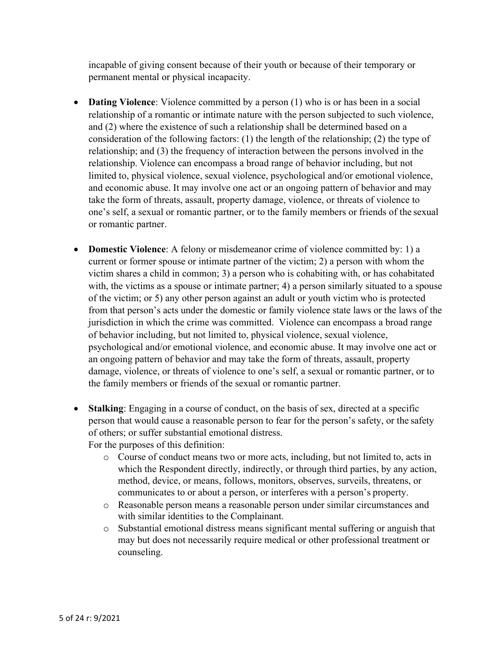incapable of giving consent because of their youth or because of their temporary or permanent mental or physical incapacity.

- **Dating Violence**: Violence committed by a person (1) who is or has been in a social relationship of a romantic or intimate nature with the person subjected to such violence, and (2) where the existence of such a relationship shall be determined based on a consideration of the following factors: (1) the length of the relationship; (2) the type of relationship; and (3) the frequency of interaction between the persons involved in the relationship. Violence can encompass a broad range of behavior including, but not limited to, physical violence, sexual violence, psychological and/or emotional violence, and economic abuse. It may involve one act or an ongoing pattern of behavior and may take the form of threats, assault, property damage, violence, or threats of violence to one's self, a sexual or romantic partner, or to the family members or friends of the sexual or romantic partner.
- **Domestic Violence**: A felony or misdemeanor crime of violence committed by: 1) a current or former spouse or intimate partner of the victim; 2) a person with whom the victim shares a child in common; 3) a person who is cohabiting with, or has cohabitated with, the victims as a spouse or intimate partner; 4) a person similarly situated to a spouse of the victim; or 5) any other person against an adult or youth victim who is protected from that person's acts under the domestic or family violence state laws or the laws of the jurisdiction in which the crime was committed. Violence can encompass a broad range of behavior including, but not limited to, physical violence, sexual violence, psychological and/or emotional violence, and economic abuse. It may involve one act or an ongoing pattern of behavior and may take the form of threats, assault, property damage, violence, or threats of violence to one's self, a sexual or romantic partner, or to the family members or friends of the sexual or romantic partner.
- **Stalking**: Engaging in a course of conduct, on the basis of sex, directed at a specific person that would cause a reasonable person to fear for the person's safety, or the safety of others; or suffer substantial emotional distress.

For the purposes of this definition:

- o Course of conduct means two or more acts, including, but not limited to, acts in which the Respondent directly, indirectly, or through third parties, by any action, method, device, or means, follows, monitors, observes, surveils, threatens, or communicates to or about a person, or interferes with a person's property.
- o Reasonable person means a reasonable person under similar circumstances and with similar identities to the Complainant.
- o Substantial emotional distress means significant mental suffering or anguish that may but does not necessarily require medical or other professional treatment or counseling.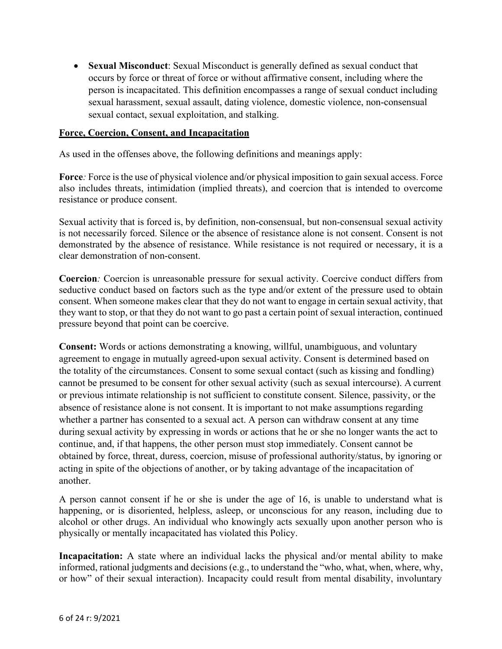• **Sexual Misconduct**: Sexual Misconduct is generally defined as sexual conduct that occurs by force or threat of force or without affirmative consent, including where the person is incapacitated. This definition encompasses a range of sexual conduct including sexual harassment, sexual assault, dating violence, domestic violence, non-consensual sexual contact, sexual exploitation, and stalking.

#### **Force, Coercion, Consent, and Incapacitation**

As used in the offenses above, the following definitions and meanings apply:

**Force**: Force is the use of physical violence and/or physical imposition to gain sexual access. Force also includes threats, intimidation (implied threats), and coercion that is intended to overcome resistance or produce consent.

Sexual activity that is forced is, by definition, non-consensual, but non-consensual sexual activity is not necessarily forced. Silence or the absence of resistance alone is not consent. Consent is not demonstrated by the absence of resistance. While resistance is not required or necessary, it is a clear demonstration of non-consent.

**Coercion***:* Coercion is unreasonable pressure for sexual activity. Coercive conduct differs from seductive conduct based on factors such as the type and/or extent of the pressure used to obtain consent. When someone makes clear that they do not want to engage in certain sexual activity, that they want to stop, or that they do not want to go past a certain point of sexual interaction, continued pressure beyond that point can be coercive.

**Consent:** Words or actions demonstrating a knowing, willful, unambiguous, and voluntary agreement to engage in mutually agreed-upon sexual activity. Consent is determined based on the totality of the circumstances. Consent to some sexual contact (such as kissing and fondling) cannot be presumed to be consent for other sexual activity (such as sexual intercourse). A current or previous intimate relationship is not sufficient to constitute consent. Silence, passivity, or the absence of resistance alone is not consent. It is important to not make assumptions regarding whether a partner has consented to a sexual act. A person can withdraw consent at any time during sexual activity by expressing in words or actions that he or she no longer wants the act to continue, and, if that happens, the other person must stop immediately. Consent cannot be obtained by force, threat, duress, coercion, misuse of professional authority/status, by ignoring or acting in spite of the objections of another, or by taking advantage of the incapacitation of another.

A person cannot consent if he or she is under the age of 16, is unable to understand what is happening, or is disoriented, helpless, asleep, or unconscious for any reason, including due to alcohol or other drugs. An individual who knowingly acts sexually upon another person who is physically or mentally incapacitated has violated this Policy.

**Incapacitation:** A state where an individual lacks the physical and/or mental ability to make informed, rational judgments and decisions (e.g., to understand the "who, what, when, where, why, or how" of their sexual interaction). Incapacity could result from mental disability, involuntary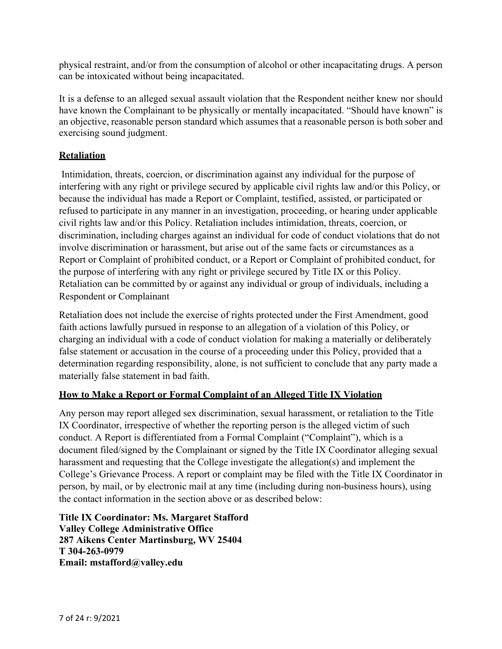physical restraint, and/or from the consumption of alcohol or other incapacitating drugs. A person can be intoxicated without being incapacitated.

It is a defense to an alleged sexual assault violation that the Respondent neither knew nor should have known the Complainant to be physically or mentally incapacitated. "Should have known" is an objective, reasonable person standard which assumes that a reasonable person is both sober and exercising sound judgment.

## **Retaliation**

Intimidation, threats, coercion, or discrimination against any individual for the purpose of interfering with any right or privilege secured by applicable civil rights law and/or this Policy, or because the individual has made a Report or Complaint, testified, assisted, or participated or refused to participate in any manner in an investigation, proceeding, or hearing under applicable civil rights law and/or this Policy. Retaliation includes intimidation, threats, coercion, or discrimination, including charges against an individual for code of conduct violations that do not involve discrimination or harassment, but arise out of the same facts or circumstances as a Report or Complaint of prohibited conduct, or a Report or Complaint of prohibited conduct, for the purpose of interfering with any right or privilege secured by Title IX or this Policy. Retaliation can be committed by or against any individual or group of individuals, including a Respondent or Complainant

Retaliation does not include the exercise of rights protected under the First Amendment, good faith actions lawfully pursued in response to an allegation of a violation of this Policy, or charging an individual with a code of conduct violation for making a materially or deliberately false statement or accusation in the course of a proceeding under this Policy, provided that a determination regarding responsibility, alone, is not sufficient to conclude that any party made a materially false statement in bad faith.

## **How to Make a Report or Formal Complaint of an Alleged Title IX Violation**

Any person may report alleged sex discrimination, sexual harassment, or retaliation to the Title IX Coordinator, irrespective of whether the reporting person is the alleged victim of such conduct. A Report is differentiated from a Formal Complaint ("Complaint"), which is a document filed/signed by the Complainant or signed by the Title IX Coordinator alleging sexual harassment and requesting that the College investigate the allegation(s) and implement the College's Grievance Process. A report or complaint may be filed with the Title IX Coordinator in person, by mail, or by electronic mail at any time (including during non-business hours), using the contact information in the section above or as described below:

**Title IX Coordinator: Ms. Margaret Stafford Valley College Administrative Office 287 Aikens Center Martinsburg, WV 25404 T 304-263-0979 Email: [mstafford@valley.edu](mailto:mstafford@valley.edu)**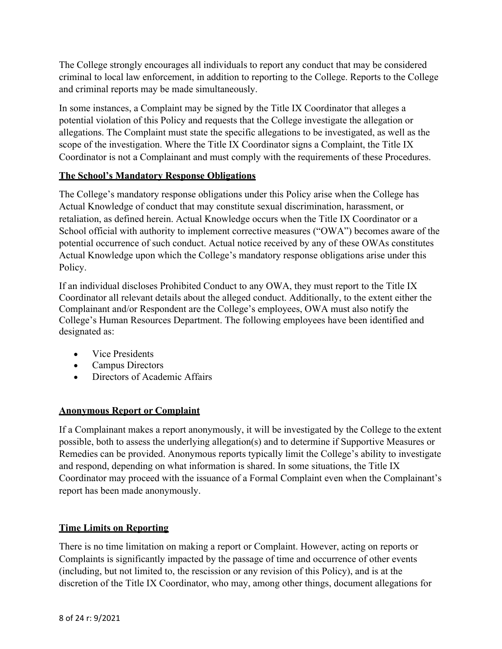The College strongly encourages all individuals to report any conduct that may be considered criminal to local law enforcement, in addition to reporting to the College. Reports to the College and criminal reports may be made simultaneously.

In some instances, a Complaint may be signed by the Title IX Coordinator that alleges a potential violation of this Policy and requests that the College investigate the allegation or allegations. The Complaint must state the specific allegations to be investigated, as well as the scope of the investigation. Where the Title IX Coordinator signs a Complaint, the Title IX Coordinator is not a Complainant and must comply with the requirements of these Procedures.

# **The School's Mandatory Response Obligations**

The College's mandatory response obligations under this Policy arise when the College has Actual Knowledge of conduct that may constitute sexual discrimination, harassment, or retaliation, as defined herein. Actual Knowledge occurs when the Title IX Coordinator or a School official with authority to implement corrective measures ("OWA") becomes aware of the potential occurrence of such conduct. Actual notice received by any of these OWAs constitutes Actual Knowledge upon which the College's mandatory response obligations arise under this Policy.

If an individual discloses Prohibited Conduct to any OWA, they must report to the Title IX Coordinator all relevant details about the alleged conduct. Additionally, to the extent either the Complainant and/or Respondent are the College's employees, OWA must also notify the College's Human Resources Department. The following employees have been identified and designated as:

- Vice Presidents
- Campus Directors
- Directors of Academic Affairs

## **Anonymous Report or Complaint**

If a Complainant makes a report anonymously, it will be investigated by the College to the extent possible, both to assess the underlying allegation(s) and to determine if Supportive Measures or Remedies can be provided. Anonymous reports typically limit the College's ability to investigate and respond, depending on what information is shared. In some situations, the Title IX Coordinator may proceed with the issuance of a Formal Complaint even when the Complainant's report has been made anonymously.

## **Time Limits on Reporting**

There is no time limitation on making a report or Complaint. However, acting on reports or Complaints is significantly impacted by the passage of time and occurrence of other events (including, but not limited to, the rescission or any revision of this Policy), and is at the discretion of the Title IX Coordinator, who may, among other things, document allegations for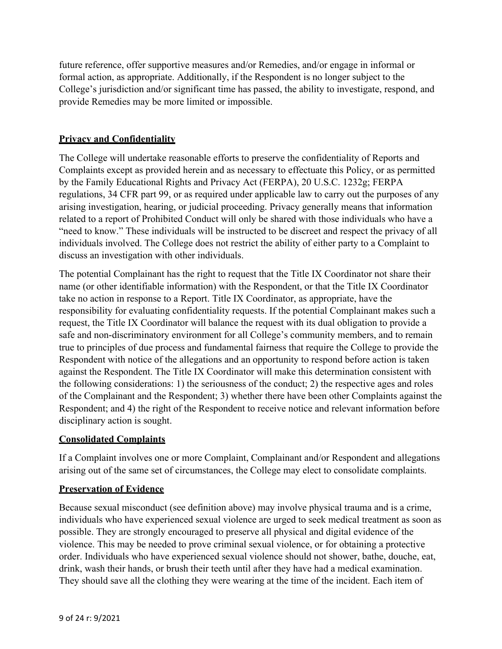future reference, offer supportive measures and/or Remedies, and/or engage in informal or formal action, as appropriate. Additionally, if the Respondent is no longer subject to the College's jurisdiction and/or significant time has passed, the ability to investigate, respond, and provide Remedies may be more limited or impossible.

# **Privacy and Confidentiality**

The College will undertake reasonable efforts to preserve the confidentiality of Reports and Complaints except as provided herein and as necessary to effectuate this Policy, or as permitted by the Family Educational Rights and Privacy Act (FERPA), 20 U.S.C. 1232g; FERPA regulations, 34 CFR part 99, or as required under applicable law to carry out the purposes of any arising investigation, hearing, or judicial proceeding. Privacy generally means that information related to a report of Prohibited Conduct will only be shared with those individuals who have a "need to know." These individuals will be instructed to be discreet and respect the privacy of all individuals involved. The College does not restrict the ability of either party to a Complaint to discuss an investigation with other individuals.

The potential Complainant has the right to request that the Title IX Coordinator not share their name (or other identifiable information) with the Respondent, or that the Title IX Coordinator take no action in response to a Report. Title IX Coordinator, as appropriate, have the responsibility for evaluating confidentiality requests. If the potential Complainant makes such a request, the Title IX Coordinator will balance the request with its dual obligation to provide a safe and non-discriminatory environment for all College's community members, and to remain true to principles of due process and fundamental fairness that require the College to provide the Respondent with notice of the allegations and an opportunity to respond before action is taken against the Respondent. The Title IX Coordinator will make this determination consistent with the following considerations: 1) the seriousness of the conduct; 2) the respective ages and roles of the Complainant and the Respondent; 3) whether there have been other Complaints against the Respondent; and 4) the right of the Respondent to receive notice and relevant information before disciplinary action is sought.

# **Consolidated Complaints**

If a Complaint involves one or more Complaint, Complainant and/or Respondent and allegations arising out of the same set of circumstances, the College may elect to consolidate complaints.

## **Preservation of Evidence**

Because sexual misconduct (see definition above) may involve physical trauma and is a crime, individuals who have experienced sexual violence are urged to seek medical treatment as soon as possible. They are strongly encouraged to preserve all physical and digital evidence of the violence. This may be needed to prove criminal sexual violence, or for obtaining a protective order. Individuals who have experienced sexual violence should not shower, bathe, douche, eat, drink, wash their hands, or brush their teeth until after they have had a medical examination. They should save all the clothing they were wearing at the time of the incident. Each item of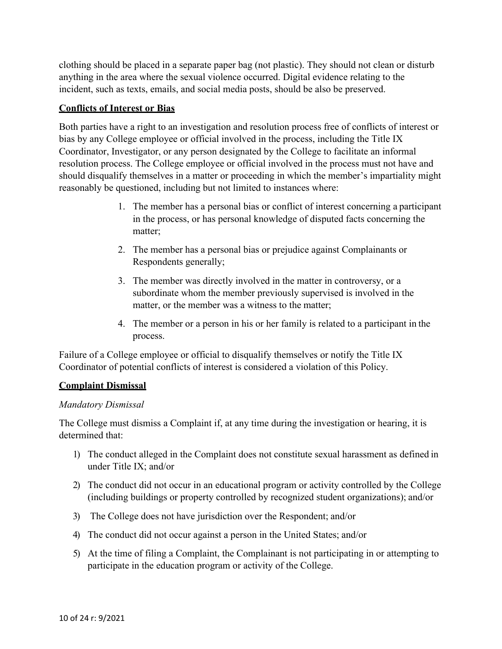clothing should be placed in a separate paper bag (not plastic). They should not clean or disturb anything in the area where the sexual violence occurred. Digital evidence relating to the incident, such as texts, emails, and social media posts, should be also be preserved.

#### **Conflicts of Interest or Bias**

Both parties have a right to an investigation and resolution process free of conflicts of interest or bias by any College employee or official involved in the process, including the Title IX Coordinator, Investigator, or any person designated by the College to facilitate an informal resolution process. The College employee or official involved in the process must not have and should disqualify themselves in a matter or proceeding in which the member's impartiality might reasonably be questioned, including but not limited to instances where:

- 1. The member has a personal bias or conflict of interest concerning a participant in the process, or has personal knowledge of disputed facts concerning the matter;
- 2. The member has a personal bias or prejudice against Complainants or Respondents generally;
- 3. The member was directly involved in the matter in controversy, or a subordinate whom the member previously supervised is involved in the matter, or the member was a witness to the matter;
- 4. The member or a person in his or her family is related to a participant in the process.

Failure of a College employee or official to disqualify themselves or notify the Title IX Coordinator of potential conflicts of interest is considered a violation of this Policy.

## **Complaint Dismissal**

#### *Mandatory Dismissal*

The College must dismiss a Complaint if, at any time during the investigation or hearing, it is determined that:

- 1) The conduct alleged in the Complaint does not constitute sexual harassment as defined in under Title IX; and/or
- 2) The conduct did not occur in an educational program or activity controlled by the College (including buildings or property controlled by recognized student organizations); and/or
- 3) The College does not have jurisdiction over the Respondent; and/or
- 4) The conduct did not occur against a person in the United States; and/or
- 5) At the time of filing a Complaint, the Complainant is not participating in or attempting to participate in the education program or activity of the College.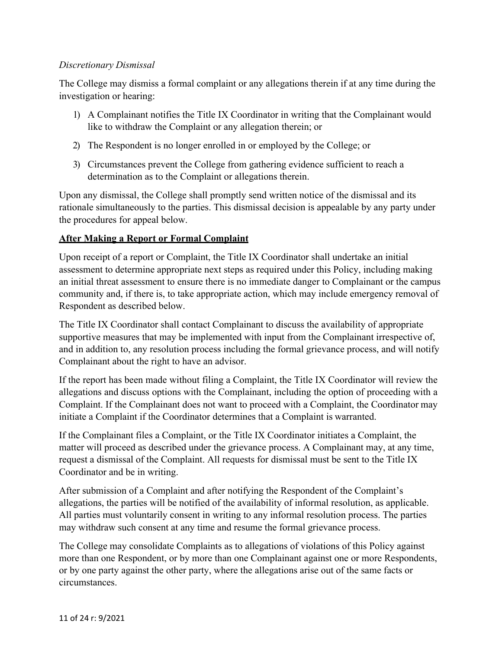#### *Discretionary Dismissal*

The College may dismiss a formal complaint or any allegations therein if at any time during the investigation or hearing:

- 1) A Complainant notifies the Title IX Coordinator in writing that the Complainant would like to withdraw the Complaint or any allegation therein; or
- 2) The Respondent is no longer enrolled in or employed by the College; or
- 3) Circumstances prevent the College from gathering evidence sufficient to reach a determination as to the Complaint or allegations therein.

Upon any dismissal, the College shall promptly send written notice of the dismissal and its rationale simultaneously to the parties. This dismissal decision is appealable by any party under the procedures for appeal below.

## **After Making a Report or Formal Complaint**

Upon receipt of a report or Complaint, the Title IX Coordinator shall undertake an initial assessment to determine appropriate next steps as required under this Policy, including making an initial threat assessment to ensure there is no immediate danger to Complainant or the campus community and, if there is, to take appropriate action, which may include emergency removal of Respondent as described below.

The Title IX Coordinator shall contact Complainant to discuss the availability of appropriate supportive measures that may be implemented with input from the Complainant irrespective of, and in addition to, any resolution process including the formal grievance process, and will notify Complainant about the right to have an advisor.

If the report has been made without filing a Complaint, the Title IX Coordinator will review the allegations and discuss options with the Complainant, including the option of proceeding with a Complaint. If the Complainant does not want to proceed with a Complaint, the Coordinator may initiate a Complaint if the Coordinator determines that a Complaint is warranted.

If the Complainant files a Complaint, or the Title IX Coordinator initiates a Complaint, the matter will proceed as described under the grievance process. A Complainant may, at any time, request a dismissal of the Complaint. All requests for dismissal must be sent to the Title IX Coordinator and be in writing.

After submission of a Complaint and after notifying the Respondent of the Complaint's allegations, the parties will be notified of the availability of informal resolution, as applicable. All parties must voluntarily consent in writing to any informal resolution process. The parties may withdraw such consent at any time and resume the formal grievance process.

The College may consolidate Complaints as to allegations of violations of this Policy against more than one Respondent, or by more than one Complainant against one or more Respondents, or by one party against the other party, where the allegations arise out of the same facts or circumstances.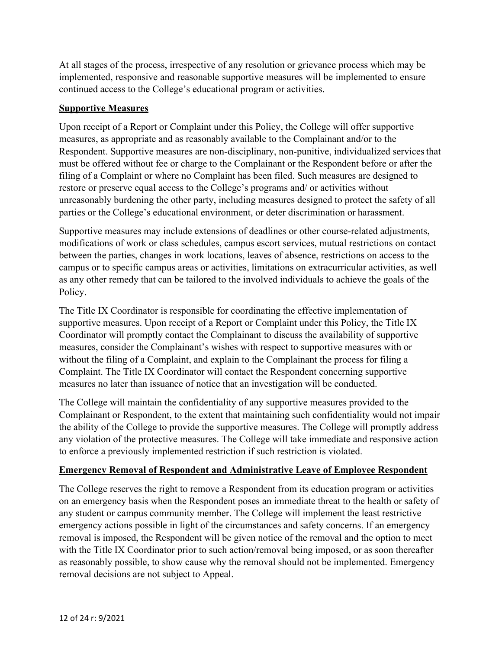At all stages of the process, irrespective of any resolution or grievance process which may be implemented, responsive and reasonable supportive measures will be implemented to ensure continued access to the College's educational program or activities.

#### **Supportive Measures**

Upon receipt of a Report or Complaint under this Policy, the College will offer supportive measures, as appropriate and as reasonably available to the Complainant and/or to the Respondent. Supportive measures are non-disciplinary, non-punitive, individualized services that must be offered without fee or charge to the Complainant or the Respondent before or after the filing of a Complaint or where no Complaint has been filed. Such measures are designed to restore or preserve equal access to the College's programs and/ or activities without unreasonably burdening the other party, including measures designed to protect the safety of all parties or the College's educational environment, or deter discrimination or harassment.

Supportive measures may include extensions of deadlines or other course-related adjustments, modifications of work or class schedules, campus escort services, mutual restrictions on contact between the parties, changes in work locations, leaves of absence, restrictions on access to the campus or to specific campus areas or activities, limitations on extracurricular activities, as well as any other remedy that can be tailored to the involved individuals to achieve the goals of the Policy.

The Title IX Coordinator is responsible for coordinating the effective implementation of supportive measures. Upon receipt of a Report or Complaint under this Policy, the Title IX Coordinator will promptly contact the Complainant to discuss the availability of supportive measures, consider the Complainant's wishes with respect to supportive measures with or without the filing of a Complaint, and explain to the Complainant the process for filing a Complaint. The Title IX Coordinator will contact the Respondent concerning supportive measures no later than issuance of notice that an investigation will be conducted.

The College will maintain the confidentiality of any supportive measures provided to the Complainant or Respondent, to the extent that maintaining such confidentiality would not impair the ability of the College to provide the supportive measures. The College will promptly address any violation of the protective measures. The College will take immediate and responsive action to enforce a previously implemented restriction if such restriction is violated.

## **Emergency Removal of Respondent and Administrative Leave of Employee Respondent**

The College reserves the right to remove a Respondent from its education program or activities on an emergency basis when the Respondent poses an immediate threat to the health or safety of any student or campus community member. The College will implement the least restrictive emergency actions possible in light of the circumstances and safety concerns. If an emergency removal is imposed, the Respondent will be given notice of the removal and the option to meet with the Title IX Coordinator prior to such action/removal being imposed, or as soon thereafter as reasonably possible, to show cause why the removal should not be implemented. Emergency removal decisions are not subject to Appeal.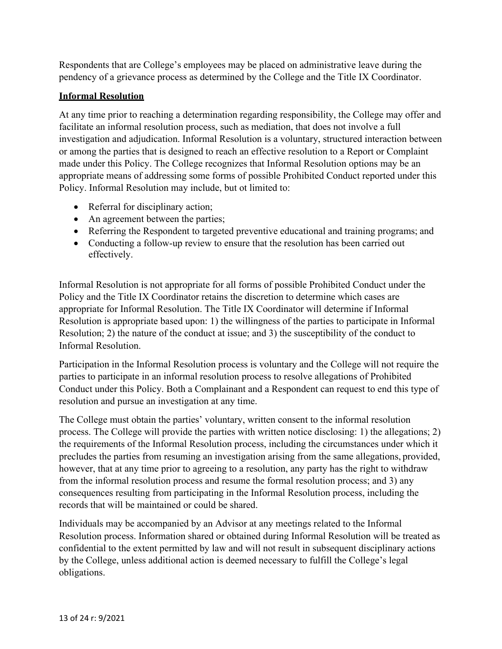Respondents that are College's employees may be placed on administrative leave during the pendency of a grievance process as determined by the College and the Title IX Coordinator.

## **Informal Resolution**

At any time prior to reaching a determination regarding responsibility, the College may offer and facilitate an informal resolution process, such as mediation, that does not involve a full investigation and adjudication. Informal Resolution is a voluntary, structured interaction between or among the parties that is designed to reach an effective resolution to a Report or Complaint made under this Policy. The College recognizes that Informal Resolution options may be an appropriate means of addressing some forms of possible Prohibited Conduct reported under this Policy. Informal Resolution may include, but ot limited to:

- Referral for disciplinary action;
- An agreement between the parties;
- Referring the Respondent to targeted preventive educational and training programs; and
- Conducting a follow-up review to ensure that the resolution has been carried out effectively.

Informal Resolution is not appropriate for all forms of possible Prohibited Conduct under the Policy and the Title IX Coordinator retains the discretion to determine which cases are appropriate for Informal Resolution. The Title IX Coordinator will determine if Informal Resolution is appropriate based upon: 1) the willingness of the parties to participate in Informal Resolution; 2) the nature of the conduct at issue; and 3) the susceptibility of the conduct to Informal Resolution.

Participation in the Informal Resolution process is voluntary and the College will not require the parties to participate in an informal resolution process to resolve allegations of Prohibited Conduct under this Policy. Both a Complainant and a Respondent can request to end this type of resolution and pursue an investigation at any time.

The College must obtain the parties' voluntary, written consent to the informal resolution process. The College will provide the parties with written notice disclosing: 1) the allegations; 2) the requirements of the Informal Resolution process, including the circumstances under which it precludes the parties from resuming an investigation arising from the same allegations, provided, however, that at any time prior to agreeing to a resolution, any party has the right to withdraw from the informal resolution process and resume the formal resolution process; and 3) any consequences resulting from participating in the Informal Resolution process, including the records that will be maintained or could be shared.

Individuals may be accompanied by an Advisor at any meetings related to the Informal Resolution process. Information shared or obtained during Informal Resolution will be treated as confidential to the extent permitted by law and will not result in subsequent disciplinary actions by the College, unless additional action is deemed necessary to fulfill the College's legal obligations.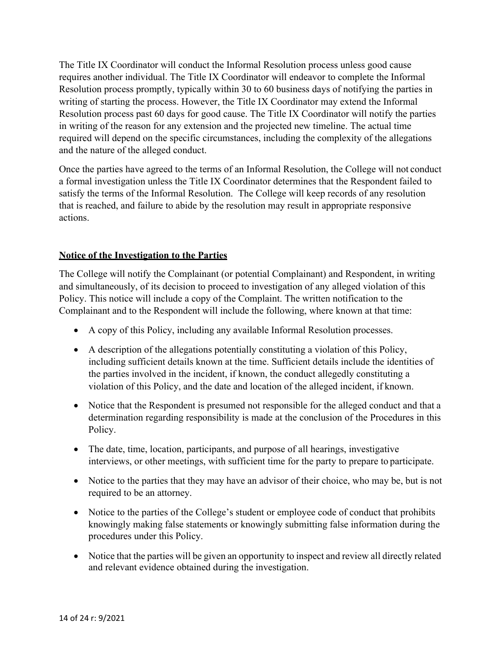The Title IX Coordinator will conduct the Informal Resolution process unless good cause requires another individual. The Title IX Coordinator will endeavor to complete the Informal Resolution process promptly, typically within 30 to 60 business days of notifying the parties in writing of starting the process. However, the Title IX Coordinator may extend the Informal Resolution process past 60 days for good cause. The Title IX Coordinator will notify the parties in writing of the reason for any extension and the projected new timeline. The actual time required will depend on the specific circumstances, including the complexity of the allegations and the nature of the alleged conduct.

Once the parties have agreed to the terms of an Informal Resolution, the College will not conduct a formal investigation unless the Title IX Coordinator determines that the Respondent failed to satisfy the terms of the Informal Resolution. The College will keep records of any resolution that is reached, and failure to abide by the resolution may result in appropriate responsive actions.

## **Notice of the Investigation to the Parties**

The College will notify the Complainant (or potential Complainant) and Respondent, in writing and simultaneously, of its decision to proceed to investigation of any alleged violation of this Policy. This notice will include a copy of the Complaint. The written notification to the Complainant and to the Respondent will include the following, where known at that time:

- A copy of this Policy, including any available Informal Resolution processes.
- A description of the allegations potentially constituting a violation of this Policy, including sufficient details known at the time. Sufficient details include the identities of the parties involved in the incident, if known, the conduct allegedly constituting a violation of this Policy, and the date and location of the alleged incident, if known.
- Notice that the Respondent is presumed not responsible for the alleged conduct and that a determination regarding responsibility is made at the conclusion of the Procedures in this Policy.
- The date, time, location, participants, and purpose of all hearings, investigative interviews, or other meetings, with sufficient time for the party to prepare to participate.
- Notice to the parties that they may have an advisor of their choice, who may be, but is not required to be an attorney.
- Notice to the parties of the College's student or employee code of conduct that prohibits knowingly making false statements or knowingly submitting false information during the procedures under this Policy.
- Notice that the parties will be given an opportunity to inspect and review all directly related and relevant evidence obtained during the investigation.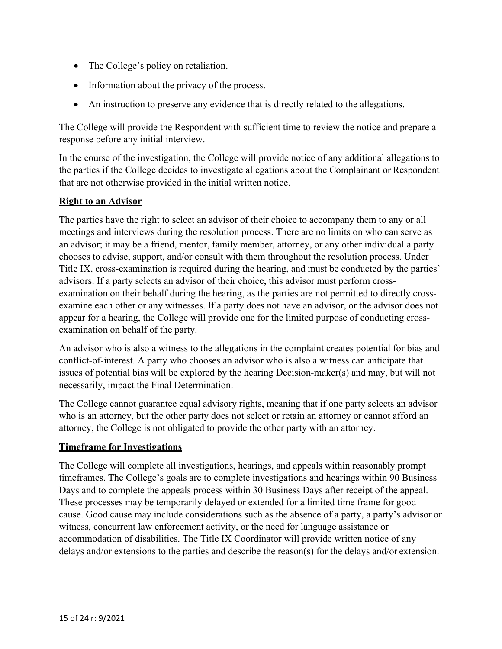- The College's policy on retaliation.
- Information about the privacy of the process.
- An instruction to preserve any evidence that is directly related to the allegations.

The College will provide the Respondent with sufficient time to review the notice and prepare a response before any initial interview.

In the course of the investigation, the College will provide notice of any additional allegations to the parties if the College decides to investigate allegations about the Complainant or Respondent that are not otherwise provided in the initial written notice.

## **Right to an Advisor**

The parties have the right to select an advisor of their choice to accompany them to any or all meetings and interviews during the resolution process. There are no limits on who can serve as an advisor; it may be a friend, mentor, family member, attorney, or any other individual a party chooses to advise, support, and/or consult with them throughout the resolution process. Under Title IX, cross-examination is required during the hearing, and must be conducted by the parties' advisors. If a party selects an advisor of their choice, this advisor must perform crossexamination on their behalf during the hearing, as the parties are not permitted to directly crossexamine each other or any witnesses. If a party does not have an advisor, or the advisor does not appear for a hearing, the College will provide one for the limited purpose of conducting crossexamination on behalf of the party.

An advisor who is also a witness to the allegations in the complaint creates potential for bias and conflict-of-interest. A party who chooses an advisor who is also a witness can anticipate that issues of potential bias will be explored by the hearing Decision-maker(s) and may, but will not necessarily, impact the Final Determination.

The College cannot guarantee equal advisory rights, meaning that if one party selects an advisor who is an attorney, but the other party does not select or retain an attorney or cannot afford an attorney, the College is not obligated to provide the other party with an attorney.

#### **Timeframe for Investigations**

The College will complete all investigations, hearings, and appeals within reasonably prompt timeframes. The College's goals are to complete investigations and hearings within 90 Business Days and to complete the appeals process within 30 Business Days after receipt of the appeal. These processes may be temporarily delayed or extended for a limited time frame for good cause. Good cause may include considerations such as the absence of a party, a party's advisor or witness, concurrent law enforcement activity, or the need for language assistance or accommodation of disabilities. The Title IX Coordinator will provide written notice of any delays and/or extensions to the parties and describe the reason(s) for the delays and/or extension.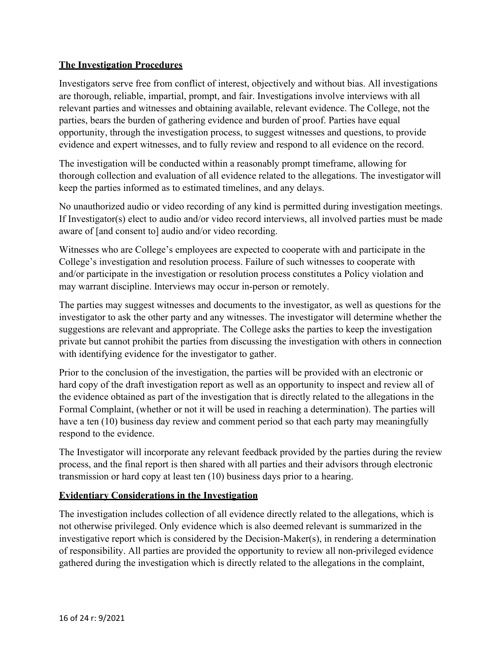## **The Investigation Procedures**

Investigators serve free from conflict of interest, objectively and without bias. All investigations are thorough, reliable, impartial, prompt, and fair. Investigations involve interviews with all relevant parties and witnesses and obtaining available, relevant evidence. The College, not the parties, bears the burden of gathering evidence and burden of proof. Parties have equal opportunity, through the investigation process, to suggest witnesses and questions, to provide evidence and expert witnesses, and to fully review and respond to all evidence on the record.

The investigation will be conducted within a reasonably prompt timeframe, allowing for thorough collection and evaluation of all evidence related to the allegations. The investigator will keep the parties informed as to estimated timelines, and any delays.

No unauthorized audio or video recording of any kind is permitted during investigation meetings. If Investigator(s) elect to audio and/or video record interviews, all involved parties must be made aware of [and consent to] audio and/or video recording.

Witnesses who are College's employees are expected to cooperate with and participate in the College's investigation and resolution process. Failure of such witnesses to cooperate with and/or participate in the investigation or resolution process constitutes a Policy violation and may warrant discipline. Interviews may occur in-person or remotely.

The parties may suggest witnesses and documents to the investigator, as well as questions for the investigator to ask the other party and any witnesses. The investigator will determine whether the suggestions are relevant and appropriate. The College asks the parties to keep the investigation private but cannot prohibit the parties from discussing the investigation with others in connection with identifying evidence for the investigator to gather.

Prior to the conclusion of the investigation, the parties will be provided with an electronic or hard copy of the draft investigation report as well as an opportunity to inspect and review all of the evidence obtained as part of the investigation that is directly related to the allegations in the Formal Complaint, (whether or not it will be used in reaching a determination). The parties will have a ten (10) business day review and comment period so that each party may meaningfully respond to the evidence.

The Investigator will incorporate any relevant feedback provided by the parties during the review process, and the final report is then shared with all parties and their advisors through electronic transmission or hard copy at least ten (10) business days prior to a hearing.

#### **Evidentiary Considerations in the Investigation**

The investigation includes collection of all evidence directly related to the allegations, which is not otherwise privileged. Only evidence which is also deemed relevant is summarized in the investigative report which is considered by the Decision-Maker(s), in rendering a determination of responsibility. All parties are provided the opportunity to review all non-privileged evidence gathered during the investigation which is directly related to the allegations in the complaint,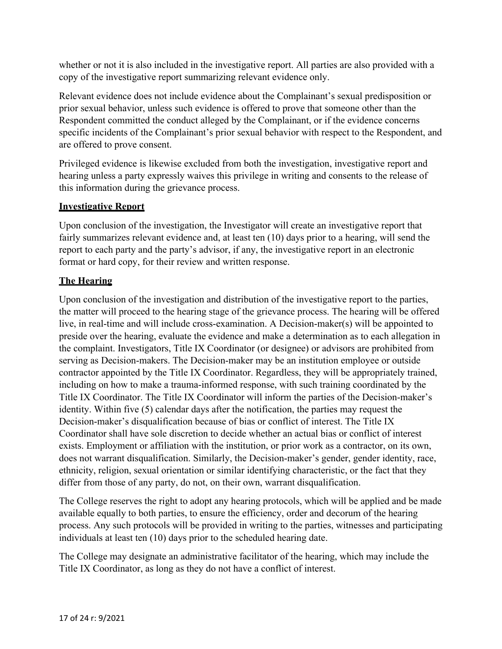whether or not it is also included in the investigative report. All parties are also provided with a copy of the investigative report summarizing relevant evidence only.

Relevant evidence does not include evidence about the Complainant's sexual predisposition or prior sexual behavior, unless such evidence is offered to prove that someone other than the Respondent committed the conduct alleged by the Complainant, or if the evidence concerns specific incidents of the Complainant's prior sexual behavior with respect to the Respondent, and are offered to prove consent.

Privileged evidence is likewise excluded from both the investigation, investigative report and hearing unless a party expressly waives this privilege in writing and consents to the release of this information during the grievance process.

# **Investigative Report**

Upon conclusion of the investigation, the Investigator will create an investigative report that fairly summarizes relevant evidence and, at least ten (10) days prior to a hearing, will send the report to each party and the party's advisor, if any, the investigative report in an electronic format or hard copy, for their review and written response.

# **The Hearing**

Upon conclusion of the investigation and distribution of the investigative report to the parties, the matter will proceed to the hearing stage of the grievance process. The hearing will be offered live, in real-time and will include cross-examination. A Decision-maker(s) will be appointed to preside over the hearing, evaluate the evidence and make a determination as to each allegation in the complaint. Investigators, Title IX Coordinator (or designee) or advisors are prohibited from serving as Decision-makers. The Decision-maker may be an institution employee or outside contractor appointed by the Title IX Coordinator. Regardless, they will be appropriately trained, including on how to make a trauma-informed response, with such training coordinated by the Title IX Coordinator. The Title IX Coordinator will inform the parties of the Decision-maker's identity. Within five (5) calendar days after the notification, the parties may request the Decision-maker's disqualification because of bias or conflict of interest. The Title IX Coordinator shall have sole discretion to decide whether an actual bias or conflict of interest exists. Employment or affiliation with the institution, or prior work as a contractor, on its own, does not warrant disqualification. Similarly, the Decision-maker's gender, gender identity, race, ethnicity, religion, sexual orientation or similar identifying characteristic, or the fact that they differ from those of any party, do not, on their own, warrant disqualification.

The College reserves the right to adopt any hearing protocols, which will be applied and be made available equally to both parties, to ensure the efficiency, order and decorum of the hearing process. Any such protocols will be provided in writing to the parties, witnesses and participating individuals at least ten (10) days prior to the scheduled hearing date.

The College may designate an administrative facilitator of the hearing, which may include the Title IX Coordinator, as long as they do not have a conflict of interest.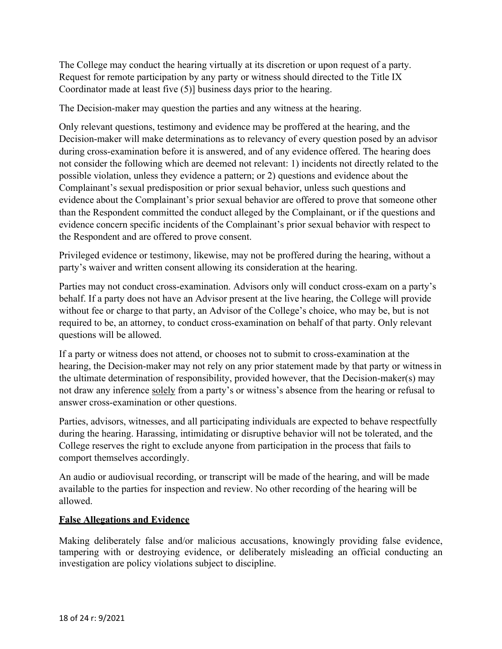The College may conduct the hearing virtually at its discretion or upon request of a party. Request for remote participation by any party or witness should directed to the Title IX Coordinator made at least five (5)] business days prior to the hearing.

The Decision-maker may question the parties and any witness at the hearing.

Only relevant questions, testimony and evidence may be proffered at the hearing, and the Decision-maker will make determinations as to relevancy of every question posed by an advisor during cross-examination before it is answered, and of any evidence offered. The hearing does not consider the following which are deemed not relevant: 1) incidents not directly related to the possible violation, unless they evidence a pattern; or 2) questions and evidence about the Complainant's sexual predisposition or prior sexual behavior, unless such questions and evidence about the Complainant's prior sexual behavior are offered to prove that someone other than the Respondent committed the conduct alleged by the Complainant, or if the questions and evidence concern specific incidents of the Complainant's prior sexual behavior with respect to the Respondent and are offered to prove consent.

Privileged evidence or testimony, likewise, may not be proffered during the hearing, without a party's waiver and written consent allowing its consideration at the hearing.

Parties may not conduct cross-examination. Advisors only will conduct cross-exam on a party's behalf. If a party does not have an Advisor present at the live hearing, the College will provide without fee or charge to that party, an Advisor of the College's choice, who may be, but is not required to be, an attorney, to conduct cross-examination on behalf of that party. Only relevant questions will be allowed.

If a party or witness does not attend, or chooses not to submit to cross-examination at the hearing, the Decision-maker may not rely on any prior statement made by that party or witness in the ultimate determination of responsibility, provided however, that the Decision-maker(s) may not draw any inference solely from a party's or witness's absence from the hearing or refusal to answer cross-examination or other questions.

Parties, advisors, witnesses, and all participating individuals are expected to behave respectfully during the hearing. Harassing, intimidating or disruptive behavior will not be tolerated, and the College reserves the right to exclude anyone from participation in the process that fails to comport themselves accordingly.

An audio or audiovisual recording, or transcript will be made of the hearing, and will be made available to the parties for inspection and review. No other recording of the hearing will be allowed.

## **False Allegations and Evidence**

Making deliberately false and/or malicious accusations, knowingly providing false evidence, tampering with or destroying evidence, or deliberately misleading an official conducting an investigation are policy violations subject to discipline.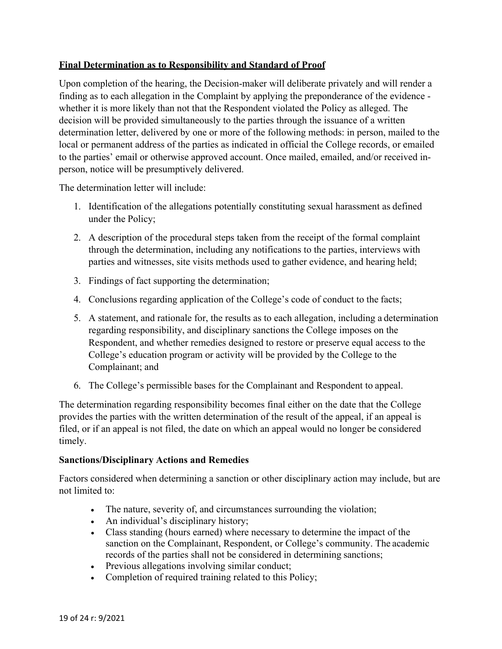# **Final Determination as to Responsibility and Standard of Proof**

Upon completion of the hearing, the Decision-maker will deliberate privately and will render a finding as to each allegation in the Complaint by applying the preponderance of the evidence whether it is more likely than not that the Respondent violated the Policy as alleged. The decision will be provided simultaneously to the parties through the issuance of a written determination letter, delivered by one or more of the following methods: in person, mailed to the local or permanent address of the parties as indicated in official the College records, or emailed to the parties' email or otherwise approved account. Once mailed, emailed, and/or received inperson, notice will be presumptively delivered.

The determination letter will include:

- 1. Identification of the allegations potentially constituting sexual harassment as defined under the Policy;
- 2. A description of the procedural steps taken from the receipt of the formal complaint through the determination, including any notifications to the parties, interviews with parties and witnesses, site visits methods used to gather evidence, and hearing held;
- 3. Findings of fact supporting the determination;
- 4. Conclusions regarding application of the College's code of conduct to the facts;
- 5. A statement, and rationale for, the results as to each allegation, including a determination regarding responsibility, and disciplinary sanctions the College imposes on the Respondent, and whether remedies designed to restore or preserve equal access to the College's education program or activity will be provided by the College to the Complainant; and
- 6. The College's permissible bases for the Complainant and Respondent to appeal.

The determination regarding responsibility becomes final either on the date that the College provides the parties with the written determination of the result of the appeal, if an appeal is filed, or if an appeal is not filed, the date on which an appeal would no longer be considered timely.

## **Sanctions/Disciplinary Actions and Remedies**

Factors considered when determining a sanction or other disciplinary action may include, but are not limited to:

- The nature, severity of, and circumstances surrounding the violation;
- An individual's disciplinary history;
- Class standing (hours earned) where necessary to determine the impact of the sanction on the Complainant, Respondent, or College's community. The academic records of the parties shall not be considered in determining sanctions;
- Previous allegations involving similar conduct;
- Completion of required training related to this Policy;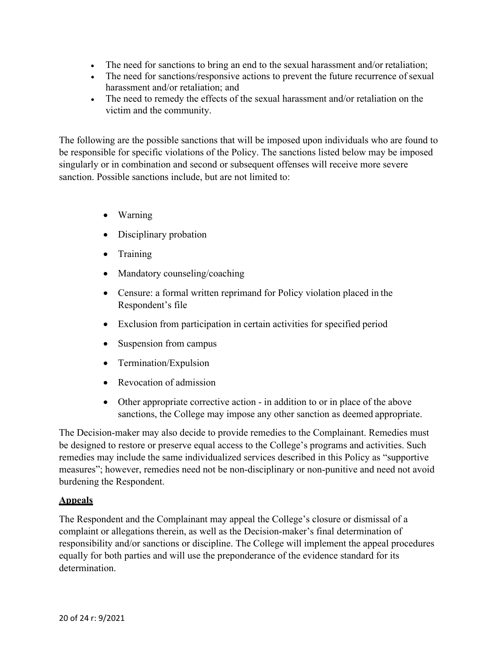- The need for sanctions to bring an end to the sexual harassment and/or retaliation;
- The need for sanctions/responsive actions to prevent the future recurrence of sexual harassment and/or retaliation; and
- The need to remedy the effects of the sexual harassment and/or retaliation on the victim and the community.

The following are the possible sanctions that will be imposed upon individuals who are found to be responsible for specific violations of the Policy. The sanctions listed below may be imposed singularly or in combination and second or subsequent offenses will receive more severe sanction. Possible sanctions include, but are not limited to:

- Warning
- Disciplinary probation
- Training
- Mandatory counseling/coaching
- Censure: a formal written reprimand for Policy violation placed in the Respondent's file
- Exclusion from participation in certain activities for specified period
- Suspension from campus
- Termination/Expulsion
- Revocation of admission
- Other appropriate corrective action in addition to or in place of the above sanctions, the College may impose any other sanction as deemed appropriate.

The Decision-maker may also decide to provide remedies to the Complainant. Remedies must be designed to restore or preserve equal access to the College's programs and activities. Such remedies may include the same individualized services described in this Policy as "supportive measures"; however, remedies need not be non-disciplinary or non-punitive and need not avoid burdening the Respondent.

## **Appeals**

The Respondent and the Complainant may appeal the College's closure or dismissal of a complaint or allegations therein, as well as the Decision-maker's final determination of responsibility and/or sanctions or discipline. The College will implement the appeal procedures equally for both parties and will use the preponderance of the evidence standard for its determination.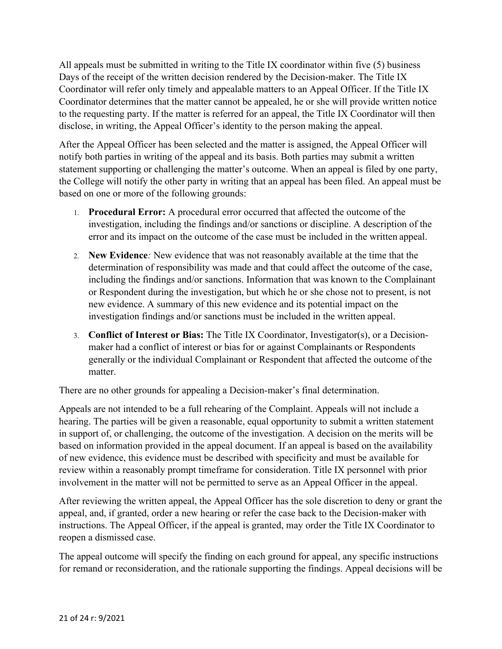All appeals must be submitted in writing to the Title IX coordinator within five (5) business Days of the receipt of the written decision rendered by the Decision-maker. The Title IX Coordinator will refer only timely and appealable matters to an Appeal Officer. If the Title IX Coordinator determines that the matter cannot be appealed, he or she will provide written notice to the requesting party. If the matter is referred for an appeal, the Title IX Coordinator will then disclose, in writing, the Appeal Officer's identity to the person making the appeal.

After the Appeal Officer has been selected and the matter is assigned, the Appeal Officer will notify both parties in writing of the appeal and its basis. Both parties may submit a written statement supporting or challenging the matter's outcome. When an appeal is filed by one party, the College will notify the other party in writing that an appeal has been filed. An appeal must be based on one or more of the following grounds:

- 1. **Procedural Error:** A procedural error occurred that affected the outcome of the investigation, including the findings and/or sanctions or discipline. A description of the error and its impact on the outcome of the case must be included in the written appeal.
- 2. **New Evidence***:* New evidence that was not reasonably available at the time that the determination of responsibility was made and that could affect the outcome of the case, including the findings and/or sanctions. Information that was known to the Complainant or Respondent during the investigation, but which he or she chose not to present, is not new evidence. A summary of this new evidence and its potential impact on the investigation findings and/or sanctions must be included in the written appeal.
- 3. **Conflict of Interest or Bias:** The Title IX Coordinator, Investigator(s), or a Decisionmaker had a conflict of interest or bias for or against Complainants or Respondents generally or the individual Complainant or Respondent that affected the outcome of the matter.

There are no other grounds for appealing a Decision-maker's final determination.

Appeals are not intended to be a full rehearing of the Complaint. Appeals will not include a hearing. The parties will be given a reasonable, equal opportunity to submit a written statement in support of, or challenging, the outcome of the investigation. A decision on the merits will be based on information provided in the appeal document. If an appeal is based on the availability of new evidence, this evidence must be described with specificity and must be available for review within a reasonably prompt timeframe for consideration. Title IX personnel with prior involvement in the matter will not be permitted to serve as an Appeal Officer in the appeal.

After reviewing the written appeal, the Appeal Officer has the sole discretion to deny or grant the appeal, and, if granted, order a new hearing or refer the case back to the Decision-maker with instructions. The Appeal Officer, if the appeal is granted, may order the Title IX Coordinator to reopen a dismissed case.

The appeal outcome will specify the finding on each ground for appeal, any specific instructions for remand or reconsideration, and the rationale supporting the findings. Appeal decisions will be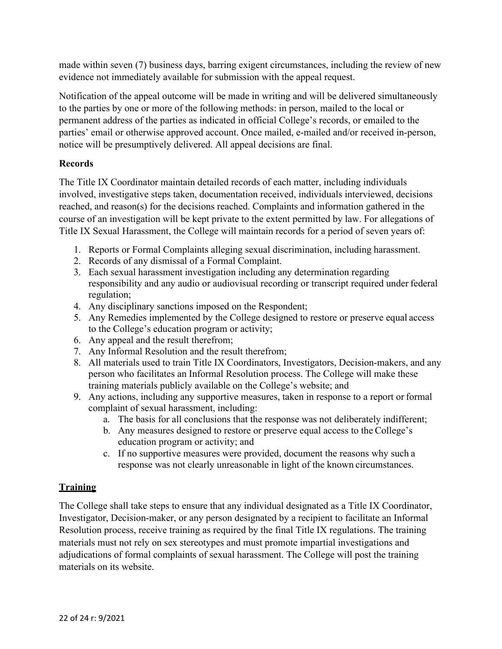made within seven (7) business days, barring exigent circumstances, including the review of new evidence not immediately available for submission with the appeal request.

Notification of the appeal outcome will be made in writing and will be delivered simultaneously to the parties by one or more of the following methods: in person, mailed to the local or permanent address of the parties as indicated in official College's records, or emailed to the parties' email or otherwise approved account. Once mailed, e-mailed and/or received in-person, notice will be presumptively delivered. All appeal decisions are final.

# **Records**

The Title IX Coordinator maintain detailed records of each matter, including individuals involved, investigative steps taken, documentation received, individuals interviewed, decisions reached, and reason(s) for the decisions reached. Complaints and information gathered in the course of an investigation will be kept private to the extent permitted by law. For allegations of Title IX Sexual Harassment, the College will maintain records for a period of seven years of:

- 1. Reports or Formal Complaints alleging sexual discrimination, including harassment.
- 2. Records of any dismissal of a Formal Complaint.
- 3. Each sexual harassment investigation including any determination regarding responsibility and any audio or audiovisual recording or transcript required under federal regulation;
- 4. Any disciplinary sanctions imposed on the Respondent;
- 5. Any Remedies implemented by the College designed to restore or preserve equal access to the College's education program or activity;
- 6. Any appeal and the result therefrom;
- 7. Any Informal Resolution and the result therefrom;
- 8. All materials used to train Title IX Coordinators, Investigators, Decision-makers, and any person who facilitates an Informal Resolution process. The College will make these training materials publicly available on the College's website; and
- 9. Any actions, including any supportive measures, taken in response to a report or formal complaint of sexual harassment, including:
	- a. The basis for all conclusions that the response was not deliberately indifferent;
	- b. Any measures designed to restore or preserve equal access to the College's education program or activity; and
	- c. If no supportive measures were provided, document the reasons why such a response was not clearly unreasonable in light of the known circumstances.

## **Training**

The College shall take steps to ensure that any individual designated as a Title IX Coordinator, Investigator, Decision-maker, or any person designated by a recipient to facilitate an Informal Resolution process, receive training as required by the final Title IX regulations. The training materials must not rely on sex stereotypes and must promote impartial investigations and adjudications of formal complaints of sexual harassment. The College will post the training materials on its website.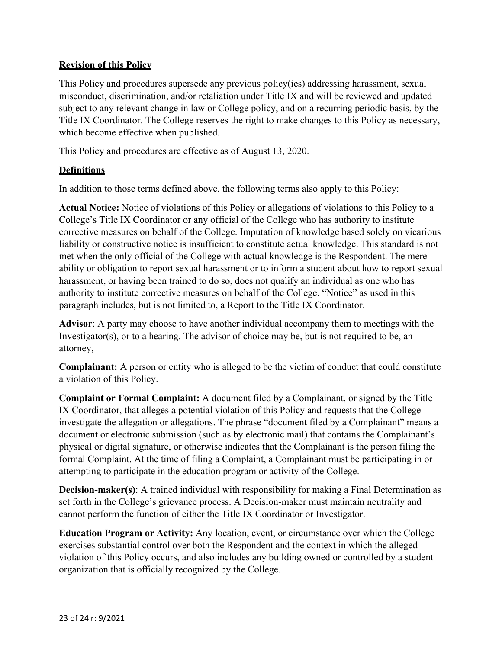# **Revision of this Policy**

This Policy and procedures supersede any previous policy(ies) addressing harassment, sexual misconduct, discrimination, and/or retaliation under Title IX and will be reviewed and updated subject to any relevant change in law or College policy, and on a recurring periodic basis, by the Title IX Coordinator. The College reserves the right to make changes to this Policy as necessary, which become effective when published.

This Policy and procedures are effective as of August 13, 2020.

# **Definitions**

In addition to those terms defined above, the following terms also apply to this Policy:

**Actual Notice:** Notice of violations of this Policy or allegations of violations to this Policy to a College's Title IX Coordinator or any official of the College who has authority to institute corrective measures on behalf of the College. Imputation of knowledge based solely on vicarious liability or constructive notice is insufficient to constitute actual knowledge. This standard is not met when the only official of the College with actual knowledge is the Respondent. The mere ability or obligation to report sexual harassment or to inform a student about how to report sexual harassment, or having been trained to do so, does not qualify an individual as one who has authority to institute corrective measures on behalf of the College. "Notice" as used in this paragraph includes, but is not limited to, a Report to the Title IX Coordinator.

**Advisor**: A party may choose to have another individual accompany them to meetings with the Investigator(s), or to a hearing. The advisor of choice may be, but is not required to be, an attorney,

**Complainant:** A person or entity who is alleged to be the victim of conduct that could constitute a violation of this Policy.

**Complaint or Formal Complaint:** A document filed by a Complainant, or signed by the Title IX Coordinator, that alleges a potential violation of this Policy and requests that the College investigate the allegation or allegations. The phrase "document filed by a Complainant" means a document or electronic submission (such as by electronic mail) that contains the Complainant's physical or digital signature, or otherwise indicates that the Complainant is the person filing the formal Complaint. At the time of filing a Complaint, a Complainant must be participating in or attempting to participate in the education program or activity of the College.

**Decision-maker(s)**: A trained individual with responsibility for making a Final Determination as set forth in the College's grievance process. A Decision-maker must maintain neutrality and cannot perform the function of either the Title IX Coordinator or Investigator.

**Education Program or Activity:** Any location, event, or circumstance over which the College exercises substantial control over both the Respondent and the context in which the alleged violation of this Policy occurs, and also includes any building owned or controlled by a student organization that is officially recognized by the College.